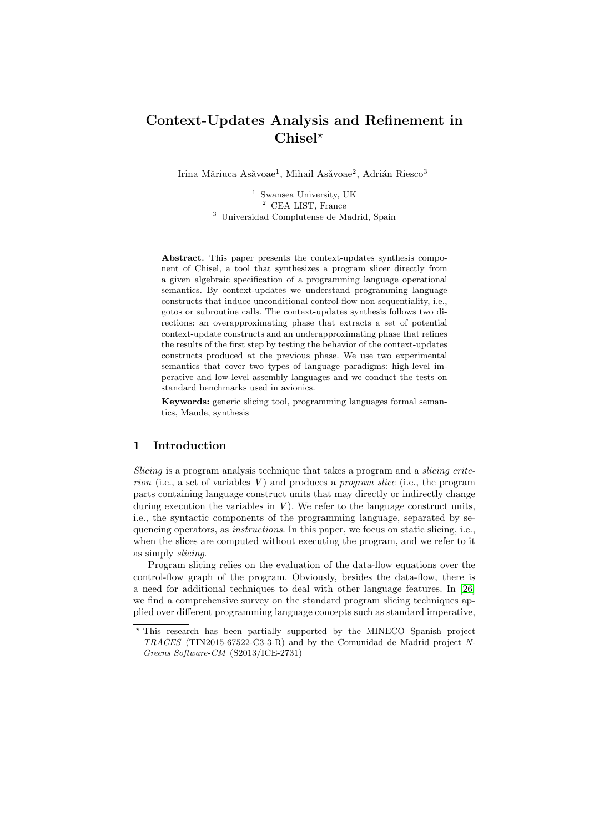# Context-Updates Analysis and Refinement in Chisel?

Irina Măriuca Asăvoae<sup>1</sup>, Mihail Asăvoae<sup>2</sup>, Adrián Riesco<sup>3</sup>

<sup>1</sup> Swansea University, UK <sup>2</sup> CEA LIST, France <sup>3</sup> Universidad Complutense de Madrid, Spain

Abstract. This paper presents the context-updates synthesis component of Chisel, a tool that synthesizes a program slicer directly from a given algebraic specification of a programming language operational semantics. By context-updates we understand programming language constructs that induce unconditional control-flow non-sequentiality, i.e., gotos or subroutine calls. The context-updates synthesis follows two directions: an overapproximating phase that extracts a set of potential context-update constructs and an underapproximating phase that refines the results of the first step by testing the behavior of the context-updates constructs produced at the previous phase. We use two experimental semantics that cover two types of language paradigms: high-level imperative and low-level assembly languages and we conduct the tests on standard benchmarks used in avionics.

Keywords: generic slicing tool, programming languages formal semantics, Maude, synthesis

# 1 Introduction

Slicing is a program analysis technique that takes a program and a slicing criterion (i.e., a set of variables V) and produces a *program slice* (i.e., the program parts containing language construct units that may directly or indirectly change during execution the variables in  $V$ ). We refer to the language construct units, i.e., the syntactic components of the programming language, separated by sequencing operators, as *instructions*. In this paper, we focus on static slicing, i.e., when the slices are computed without executing the program, and we refer to it as simply slicing.

Program slicing relies on the evaluation of the data-flow equations over the control-flow graph of the program. Obviously, besides the data-flow, there is a need for additional techniques to deal with other language features. In [\[26\]](#page-16-0) we find a comprehensive survey on the standard program slicing techniques applied over different programming language concepts such as standard imperative,

<sup>?</sup> This research has been partially supported by the MINECO Spanish project TRACES (TIN2015-67522-C3-3-R) and by the Comunidad de Madrid project N-Greens Software-CM (S2013/ICE-2731)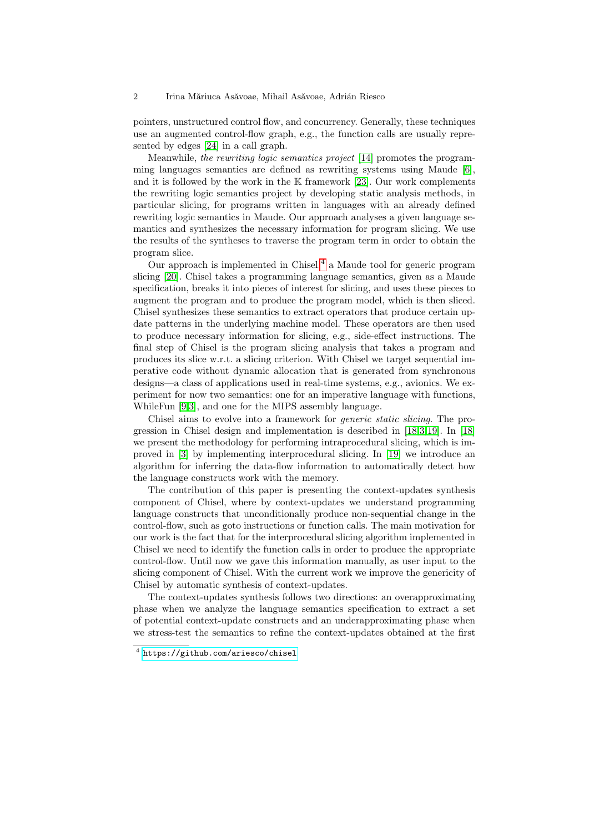pointers, unstructured control flow, and concurrency. Generally, these techniques use an augmented control-flow graph, e.g., the function calls are usually represented by edges [\[24\]](#page-16-1) in a call graph.

Meanwhile, the rewriting logic semantics project [\[14\]](#page-15-0) promotes the programming languages semantics are defined as rewriting systems using Maude [\[6\]](#page-15-1), and it is followed by the work in the K framework [\[23\]](#page-16-2). Our work complements the rewriting logic semantics project by developing static analysis methods, in particular slicing, for programs written in languages with an already defined rewriting logic semantics in Maude. Our approach analyses a given language semantics and synthesizes the necessary information for program slicing. We use the results of the syntheses to traverse the program term in order to obtain the program slice.

Our approach is implemented in  $Chisel<sup>4</sup>$  $Chisel<sup>4</sup>$  $Chisel<sup>4</sup>$  a Maude tool for generic program slicing [\[20\]](#page-16-3). Chisel takes a programming language semantics, given as a Maude specification, breaks it into pieces of interest for slicing, and uses these pieces to augment the program and to produce the program model, which is then sliced. Chisel synthesizes these semantics to extract operators that produce certain update patterns in the underlying machine model. These operators are then used to produce necessary information for slicing, e.g., side-effect instructions. The final step of Chisel is the program slicing analysis that takes a program and produces its slice w.r.t. a slicing criterion. With Chisel we target sequential imperative code without dynamic allocation that is generated from synchronous designs—a class of applications used in real-time systems, e.g., avionics. We experiment for now two semantics: one for an imperative language with functions, WhileFun [\[9](#page-15-2)[,3\]](#page-15-3), and one for the MIPS assembly language.

Chisel aims to evolve into a framework for generic static slicing. The progression in Chisel design and implementation is described in [\[18,](#page-16-4)[3,](#page-15-3)[19\]](#page-16-5). In [\[18\]](#page-16-4) we present the methodology for performing intraprocedural slicing, which is improved in [\[3\]](#page-15-3) by implementing interprocedural slicing. In [\[19\]](#page-16-5) we introduce an algorithm for inferring the data-flow information to automatically detect how the language constructs work with the memory.

The contribution of this paper is presenting the context-updates synthesis component of Chisel, where by context-updates we understand programming language constructs that unconditionally produce non-sequential change in the control-flow, such as goto instructions or function calls. The main motivation for our work is the fact that for the interprocedural slicing algorithm implemented in Chisel we need to identify the function calls in order to produce the appropriate control-flow. Until now we gave this information manually, as user input to the slicing component of Chisel. With the current work we improve the genericity of Chisel by automatic synthesis of context-updates.

The context-updates synthesis follows two directions: an overapproximating phase when we analyze the language semantics specification to extract a set of potential context-update constructs and an underapproximating phase when we stress-test the semantics to refine the context-updates obtained at the first

<span id="page-1-0"></span> $^4$  <https://github.com/ariesco/chisel>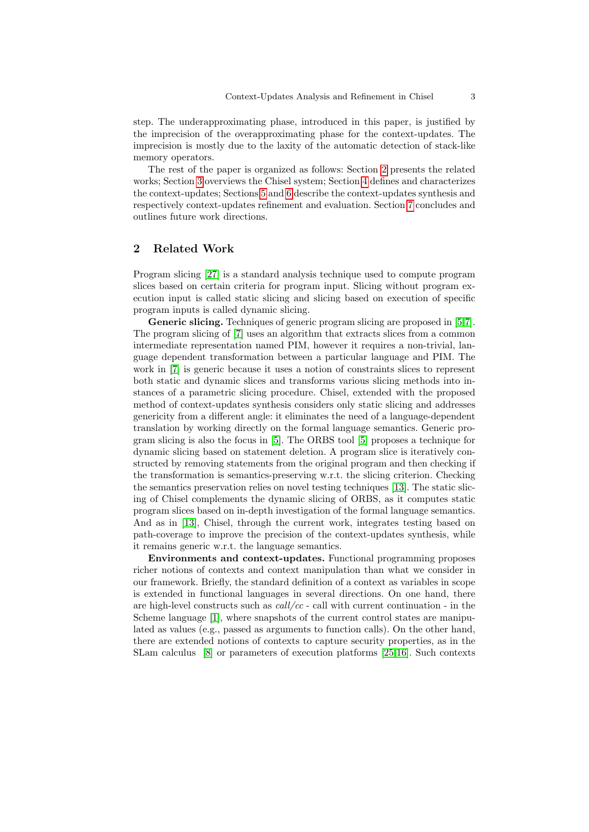step. The underapproximating phase, introduced in this paper, is justified by the imprecision of the overapproximating phase for the context-updates. The imprecision is mostly due to the laxity of the automatic detection of stack-like memory operators.

The rest of the paper is organized as follows: Section [2](#page-2-0) presents the related works; Section [3](#page-4-0) overviews the Chisel system; Section [4](#page-6-0) defines and characterizes the context-updates; Sections [5](#page-8-0) and [6](#page-11-0) describe the context-updates synthesis and respectively context-updates refinement and evaluation. Section [7](#page-15-4) concludes and outlines future work directions.

# <span id="page-2-0"></span>2 Related Work

Program slicing [\[27\]](#page-16-6) is a standard analysis technique used to compute program slices based on certain criteria for program input. Slicing without program execution input is called static slicing and slicing based on execution of specific program inputs is called dynamic slicing.

Generic slicing. Techniques of generic program slicing are proposed in [\[5,](#page-15-5)[7\]](#page-15-6). The program slicing of [\[7\]](#page-15-6) uses an algorithm that extracts slices from a common intermediate representation named PIM, however it requires a non-trivial, language dependent transformation between a particular language and PIM. The work in [\[7\]](#page-15-6) is generic because it uses a notion of constraints slices to represent both static and dynamic slices and transforms various slicing methods into instances of a parametric slicing procedure. Chisel, extended with the proposed method of context-updates synthesis considers only static slicing and addresses genericity from a different angle: it eliminates the need of a language-dependent translation by working directly on the formal language semantics. Generic program slicing is also the focus in [\[5\]](#page-15-5). The ORBS tool [\[5\]](#page-15-5) proposes a technique for dynamic slicing based on statement deletion. A program slice is iteratively constructed by removing statements from the original program and then checking if the transformation is semantics-preserving w.r.t. the slicing criterion. Checking the semantics preservation relies on novel testing techniques [\[13\]](#page-15-7). The static slicing of Chisel complements the dynamic slicing of ORBS, as it computes static program slices based on in-depth investigation of the formal language semantics. And as in [\[13\]](#page-15-7), Chisel, through the current work, integrates testing based on path-coverage to improve the precision of the context-updates synthesis, while it remains generic w.r.t. the language semantics.

Environments and context-updates. Functional programming proposes richer notions of contexts and context manipulation than what we consider in our framework. Briefly, the standard definition of a context as variables in scope is extended in functional languages in several directions. On one hand, there are high-level constructs such as  $call/cc$  - call with current continuation - in the Scheme language [\[1\]](#page-15-8), where snapshots of the current control states are manipulated as values (e.g., passed as arguments to function calls). On the other hand, there are extended notions of contexts to capture security properties, as in the SLam calculus [\[8\]](#page-15-9) or parameters of execution platforms [\[25,](#page-16-7)[16\]](#page-16-8). Such contexts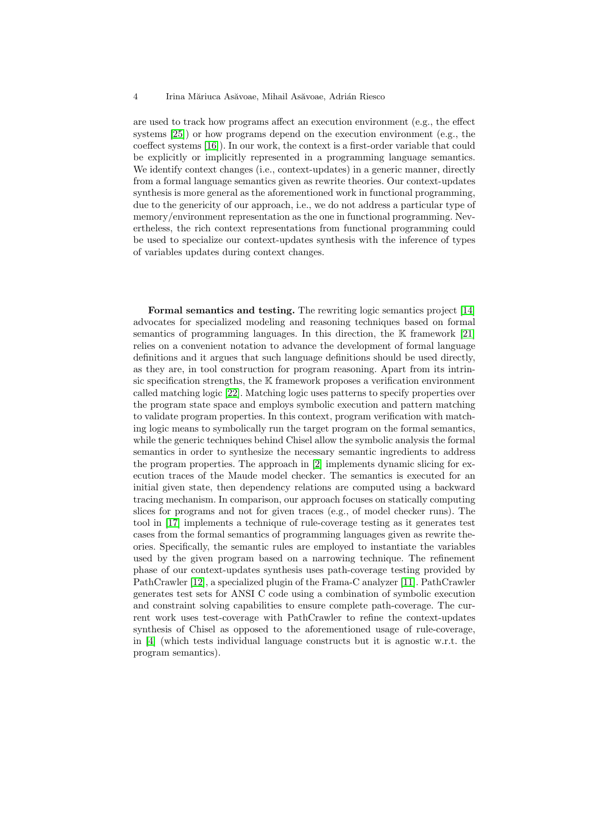are used to track how programs affect an execution environment (e.g., the effect systems [\[25\]](#page-16-7)) or how programs depend on the execution environment (e.g., the coeffect systems [\[16\]](#page-16-8)). In our work, the context is a first-order variable that could be explicitly or implicitly represented in a programming language semantics. We identify context changes (i.e., context-updates) in a generic manner, directly from a formal language semantics given as rewrite theories. Our context-updates synthesis is more general as the aforementioned work in functional programming, due to the genericity of our approach, i.e., we do not address a particular type of memory/environment representation as the one in functional programming. Nevertheless, the rich context representations from functional programming could be used to specialize our context-updates synthesis with the inference of types of variables updates during context changes.

Formal semantics and testing. The rewriting logic semantics project [\[14\]](#page-15-0) advocates for specialized modeling and reasoning techniques based on formal semantics of programming languages. In this direction, the  $K$  framework [\[21\]](#page-16-9) relies on a convenient notation to advance the development of formal language definitions and it argues that such language definitions should be used directly, as they are, in tool construction for program reasoning. Apart from its intrinsic specification strengths, the K framework proposes a verification environment called matching logic [\[22\]](#page-16-10). Matching logic uses patterns to specify properties over the program state space and employs symbolic execution and pattern matching to validate program properties. In this context, program verification with matching logic means to symbolically run the target program on the formal semantics, while the generic techniques behind Chisel allow the symbolic analysis the formal semantics in order to synthesize the necessary semantic ingredients to address the program properties. The approach in [\[2\]](#page-15-10) implements dynamic slicing for execution traces of the Maude model checker. The semantics is executed for an initial given state, then dependency relations are computed using a backward tracing mechanism. In comparison, our approach focuses on statically computing slices for programs and not for given traces (e.g., of model checker runs). The tool in [\[17\]](#page-16-11) implements a technique of rule-coverage testing as it generates test cases from the formal semantics of programming languages given as rewrite theories. Specifically, the semantic rules are employed to instantiate the variables used by the given program based on a narrowing technique. The refinement phase of our context-updates synthesis uses path-coverage testing provided by PathCrawler [\[12\]](#page-15-11), a specialized plugin of the Frama-C analyzer [\[11\]](#page-15-12). PathCrawler generates test sets for ANSI C code using a combination of symbolic execution and constraint solving capabilities to ensure complete path-coverage. The current work uses test-coverage with PathCrawler to refine the context-updates synthesis of Chisel as opposed to the aforementioned usage of rule-coverage, in [\[4\]](#page-15-13) (which tests individual language constructs but it is agnostic w.r.t. the program semantics).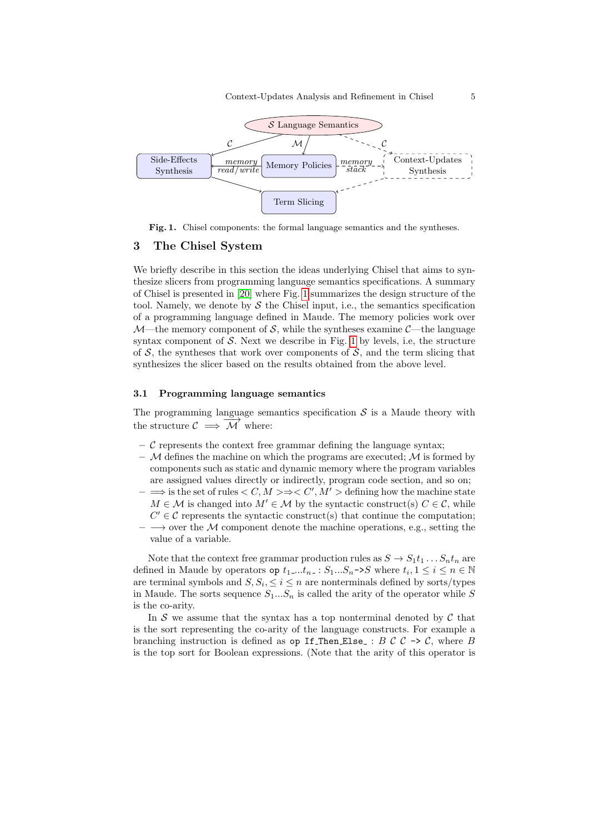

<span id="page-4-1"></span>Fig. 1. Chisel components: the formal language semantics and the syntheses.

# <span id="page-4-0"></span>3 The Chisel System

We briefly describe in this section the ideas underlying Chisel that aims to synthesize slicers from programming language semantics specifications. A summary of Chisel is presented in [\[20\]](#page-16-3) where Fig. [1](#page-4-1) summarizes the design structure of the tool. Namely, we denote by  $S$  the Chisel input, i.e., the semantics specification of a programming language defined in Maude. The memory policies work over  $M$ —the memory component of S, while the syntheses examine  $\mathcal{C}$ —the language syntax component of  $S$ . Next we describe in Fig. [1](#page-4-1) by levels, i.e, the structure of S, the syntheses that work over components of S, and the term slicing that synthesizes the slicer based on the results obtained from the above level.

#### 3.1 Programming language semantics

The programming language semantics specification  $\mathcal S$  is a Maude theory with the structure  $\mathcal{C} \implies \overrightarrow{\mathcal{M}}$  where:

- $\sim$  C represents the context free grammar defining the language syntax;
- $\mathcal M$  defines the machine on which the programs are executed;  $\mathcal M$  is formed by components such as static and dynamic memory where the program variables are assigned values directly or indirectly, program code section, and so on;
- $\implies$  is the set of rules  $\langle C, M \rangle \Rightarrow \langle C', M' \rangle$  defining how the machine state  $M \in \mathcal{M}$  is changed into  $M' \in \mathcal{M}$  by the syntactic construct(s)  $C \in \mathcal{C}$ , while  $C' \in \mathcal{C}$  represents the syntactic construct(s) that continue the computation;
- $\rightarrow$  over the M component denote the machine operations, e.g., setting the value of a variable.

Note that the context free grammar production rules as  $S \to S_1 t_1 \dots S_n t_n$  are defined in Maude by operators op  $t_1,...t_n$  :  $S_1...S_n$ ->S where  $t_i, 1 \leq i \leq n \in \mathbb{N}$ are terminal symbols and  $S, S_i, \leq i \leq n$  are nonterminals defined by sorts/types in Maude. The sorts sequence  $S_1...S_n$  is called the arity of the operator while S is the co-arity.

In  $S$  we assume that the syntax has a top nonterminal denoted by  $C$  that is the sort representing the co-arity of the language constructs. For example a branching instruction is defined as op If Then Else  $\therefore$  B C C -> C, where B is the top sort for Boolean expressions. (Note that the arity of this operator is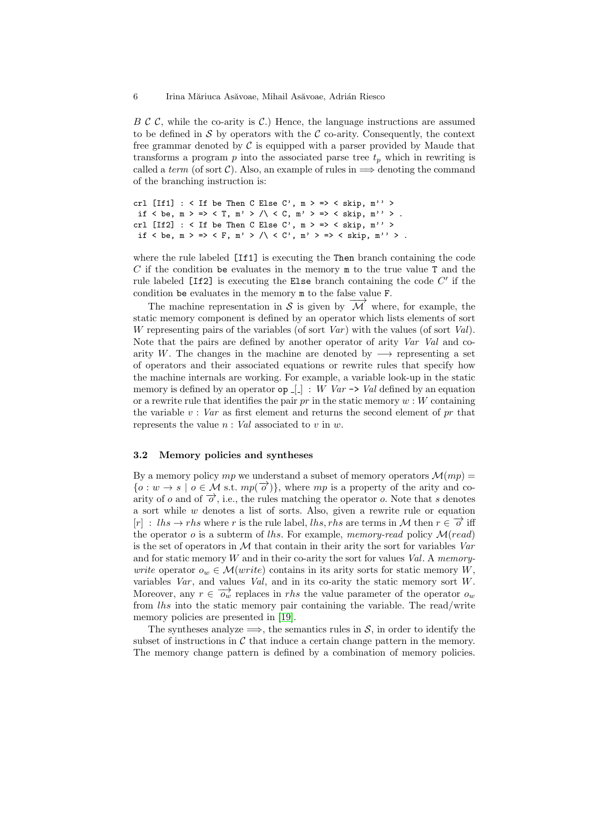$B \mathcal{C} \mathcal{C}$ , while the co-arity is  $\mathcal{C}$ .) Hence, the language instructions are assumed to be defined in  $S$  by operators with the  $C$  co-arity. Consequently, the context free grammar denoted by  $C$  is equipped with a parser provided by Maude that transforms a program  $p$  into the associated parse tree  $t_p$  which in rewriting is called a term (of sort C). Also, an example of rules in  $\implies$  denoting the command of the branching instruction is:

crl [If1] : < If be Then C Else C',  $m$  > => < skip,  $m'$ ' > if  $\langle$  be,  $m \rangle \Rightarrow \langle T, m' \rangle / \langle C, m' \rangle \Rightarrow \langle \text{skip}, m' \rangle$ crl [If2] : < If be Then C Else C',  $m$  > => < skip,  $m'$ ' > if  $\langle$  be,  $m \rangle \Rightarrow \langle F, m' \rangle / \langle C', m' \rangle \Rightarrow \langle$  skip,  $m'' \rangle$ .

where the rule labeled [If1] is executing the Then branch containing the code  $C$  if the condition be evaluates in the memory  $m$  to the true value T and the rule labeled [If2] is executing the Else branch containing the code  $C'$  if the condition be evaluates in the memory m to the false value F.

The machine representation in S is given by  $\overrightarrow{M}$  where, for example, the static memory component is defined by an operator which lists elements of sort W representing pairs of the variables (of sort  $Var$ ) with the values (of sort Val). Note that the pairs are defined by another operator of arity Var Val and coarity W. The changes in the machine are denoted by  $\longrightarrow$  representing a set of operators and their associated equations or rewrite rules that specify how the machine internals are working. For example, a variable look-up in the static memory is defined by an operator op  $\lfloor \cdot \rfloor$  : W Var  $\rightarrow$  Val defined by an equation or a rewrite rule that identifies the pair  $pr$  in the static memory  $w: W$  containing the variable  $v : Var$  as first element and returns the second element of pr that represents the value  $n : Val$  associated to  $v$  in  $w$ .

## <span id="page-5-0"></span>3.2 Memory policies and syntheses

By a memory policy mp we understand a subset of memory operators  $\mathcal{M}(mp)$  =  ${\sigma : w \to s \mid o \in \mathcal{M} \text{ s.t. } mp(\overrightarrow{o})\}, \text{ where } mp \text{ is a property of the arity and co$ arity of o and of  $\overrightarrow{\phi}$ , i.e., the rules matching the operator o. Note that s denotes a sort while w denotes a list of sorts. Also, given a rewrite rule or equation  $[r] : lhs \to rhs$  where r is the rule label, lhs, rhs are terms in M then  $r \in \overrightarrow{O}$  iff the operator  $o$  is a subterm of lhs. For example, *memory-read* policy  $\mathcal{M}(read)$ is the set of operators in  $\mathcal M$  that contain in their arity the sort for variables  $Var$ and for static memory  $W$  and in their co-arity the sort for values Val. A memorywrite operator  $o_w \in \mathcal{M}(write)$  contains in its arity sorts for static memory W, variables  $Var$ , and values  $Val$ , and in its co-arity the static memory sort  $W$ . Moreover, any  $r \in \overrightarrow{o_w}$  replaces in *rhs* the value parameter of the operator  $o_w$ from lhs into the static memory pair containing the variable. The read/write memory policies are presented in [\[19\]](#page-16-5).

The syntheses analyze  $\Longrightarrow$ , the semantics rules in S, in order to identify the subset of instructions in  $\mathcal C$  that induce a certain change pattern in the memory. The memory change pattern is defined by a combination of memory policies.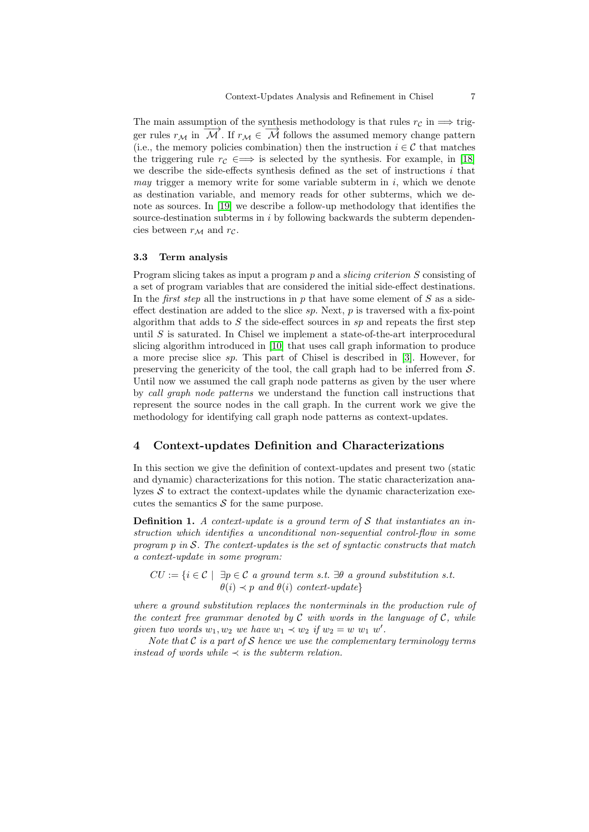The main assumption of the synthesis methodology is that rules  $r_c$  in  $\implies$  trigger rules  $r_M$  in  $\overline{\mathcal{M}}$ . If  $r_M \in \overline{\mathcal{M}}$  follows the assumed memory change pattern (i.e., the memory policies combination) then the instruction  $i \in \mathcal{C}$  that matches the triggering rule  $r_c \in \Rightarrow$  is selected by the synthesis. For example, in [\[18\]](#page-16-4) we describe the side-effects synthesis defined as the set of instructions  $i$  that *may* trigger a memory write for some variable subterm in i, which we denote as destination variable, and memory reads for other subterms, which we denote as sources. In [\[19\]](#page-16-5) we describe a follow-up methodology that identifies the source-destination subterms in i by following backwards the subterm dependencies between  $r_{\mathcal{M}}$  and  $r_{\mathcal{C}}$ .

#### 3.3 Term analysis

Program slicing takes as input a program p and a *slicing criterion S* consisting of a set of program variables that are considered the initial side-effect destinations. In the *first step* all the instructions in p that have some element of  $S$  as a sideeffect destination are added to the slice sp. Next, p is traversed with a fix-point algorithm that adds to S the side-effect sources in  $sp$  and repeats the first step until  $S$  is saturated. In Chisel we implement a state-of-the-art interprocedural slicing algorithm introduced in [\[10\]](#page-15-14) that uses call graph information to produce a more precise slice sp. This part of Chisel is described in [\[3\]](#page-15-3). However, for preserving the genericity of the tool, the call graph had to be inferred from  $S$ . Until now we assumed the call graph node patterns as given by the user where by call graph node patterns we understand the function call instructions that represent the source nodes in the call graph. In the current work we give the methodology for identifying call graph node patterns as context-updates.

## <span id="page-6-0"></span>4 Context-updates Definition and Characterizations

In this section we give the definition of context-updates and present two (static and dynamic) characterizations for this notion. The static characterization analyzes  $S$  to extract the context-updates while the dynamic characterization executes the semantics  $S$  for the same purpose.

**Definition 1.** A context-update is a ground term of S that instantiates an instruction which identifies a unconditional non-sequential control-flow in some program  $p$  in  $S$ . The context-updates is the set of syntactic constructs that match a context-update in some program:

 $CU := \{i \in C \mid \exists p \in C \text{ a ground term s.t. } \exists \theta \text{ a ground substitution s.t. } \exists \theta \text{ a ground substitution s.t. } \exists \theta \text{ a minimal substitution s.t. } \exists \theta \text{ a minimal substitution s.t. } \exists \theta \text{ a minimal substitution s.t. } \exists \theta \text{ a minimal substitution s.t. } \exists \theta \text{ a minimal substitution s.t. } \exists \theta \text{ a minimal substitution s.t. } \exists \theta \text{ a minimal substitution s.t. } \exists \theta \text{ a minimal substitution s.t. } \exists \theta \text{ a minimal substitution s.t. } \exists \theta \text{ a minimal solution s.t. } \exists \theta \text{ a } \theta \text{ a } \theta \text{ a } \theta \$  $\theta(i) \prec p$  and  $\theta(i)$  context-update}

where a ground substitution replaces the nonterminals in the production rule of the context free grammar denoted by  $\mathcal C$  with words in the language of  $\mathcal C$ , while given two words  $w_1, w_2$  we have  $w_1 \prec w_2$  if  $w_2 = w w_1 w'$ .

Note that  $C$  is a part of  $S$  hence we use the complementary terminology terms instead of words while  $\prec$  is the subterm relation.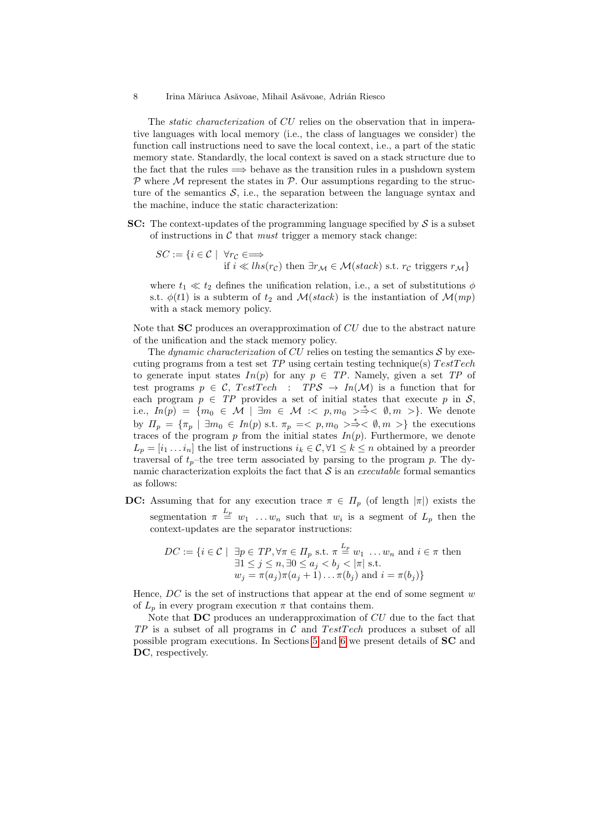The *static characterization* of CU relies on the observation that in imperative languages with local memory (i.e., the class of languages we consider) the function call instructions need to save the local context, i.e., a part of the static memory state. Standardly, the local context is saved on a stack structure due to the fact that the rules  $\implies$  behave as the transition rules in a pushdown system  $\mathcal P$  where  $\mathcal M$  represent the states in  $\mathcal P$ . Our assumptions regarding to the structure of the semantics  $\mathcal{S}$ , i.e., the separation between the language syntax and the machine, induce the static characterization:

**SC:** The context-updates of the programming language specified by  $S$  is a subset of instructions in  $\mathcal C$  that *must* trigger a memory stack change:

$$
SC := \{ i \in C \mid \forall rc \in \implies
$$
  
if  $i \ll lhs(r_C)$  then  $\exists r_M \in \mathcal{M}(stack)$  s.t.  $r_C$  triggers  $r_M$ 

where  $t_1 \ll t_2$  defines the unification relation, i.e., a set of substitutions  $\phi$ s.t.  $\phi(t)$  is a subterm of  $t_2$  and  $\mathcal{M}(stack)$  is the instantiation of  $\mathcal{M}(mp)$ with a stack memory policy.

Note that SC produces an overapproximation of CU due to the abstract nature of the unification and the stack memory policy.

The dynamic characterization of CU relies on testing the semantics  $S$  by executing programs from a test set  $TP$  using certain testing technique(s)  $Test Tech$ to generate input states  $In(p)$  for any  $p \in TP$ . Namely, given a set TP of test programs  $p \in \mathcal{C}$ , TestTech : TPS  $\rightarrow In(\mathcal{M})$  is a function that for each program  $p \in TP$  provides a set of initial states that execute p in S, i.e.,  $In(p) = \{m_0 \in \mathcal{M} \mid \exists m \in \mathcal{M} \prec p, m_0 \geq \Rightarrow \leq \emptyset, m \geq \}$ . We denote by  $\Pi_p = {\pi_p \mid \exists m_0 \in In(p) \text{ s.t. } \pi_p = \langle p, m_0 \rangle \Rightarrow \langle \emptyset, m \rangle}$  the executions traces of the program  $p$  from the initial states  $In(p)$ . Furthermore, we denote  $L_p = [i_1 \dots i_n]$  the list of instructions  $i_k \in \mathcal{C}, \forall 1 \leq k \leq n$  obtained by a preorder traversal of  $t_p$ –the tree term associated by parsing to the program p. The dynamic characterization exploits the fact that  $S$  is an executable formal semantics as follows:

**DC:** Assuming that for any execution trace  $\pi \in \Pi_p$  (of length  $|\pi|$ ) exists the segmentation  $\pi \stackrel{L_p}{=} w_1 \dots w_n$  such that  $w_i$  is a segment of  $L_p$  then the context-updates are the separator instructions:

$$
DC := \{ i \in \mathcal{C} \mid \exists p \in TP, \forall \pi \in \Pi_p \text{ s.t. } \pi \stackrel{L_p}{=} w_1 \dots w_n \text{ and } i \in \pi \text{ then}
$$
  
\n
$$
\exists 1 \le j \le n, \exists 0 \le a_j < b_j < |\pi| \text{ s.t.}
$$
  
\n
$$
w_j = \pi(a_j)\pi(a_j + 1)\dots\pi(b_j) \text{ and } i = \pi(b_j) \}
$$

Hence,  $DC$  is the set of instructions that appear at the end of some segment  $w$ of  $L_p$  in every program execution  $\pi$  that contains them.

Note that DC produces an underapproximation of CU due to the fact that  $TP$  is a subset of all programs in C and  $Test Tech$  produces a subset of all possible program executions. In Sections [5](#page-8-0) and [6](#page-11-0) we present details of SC and DC, respectively.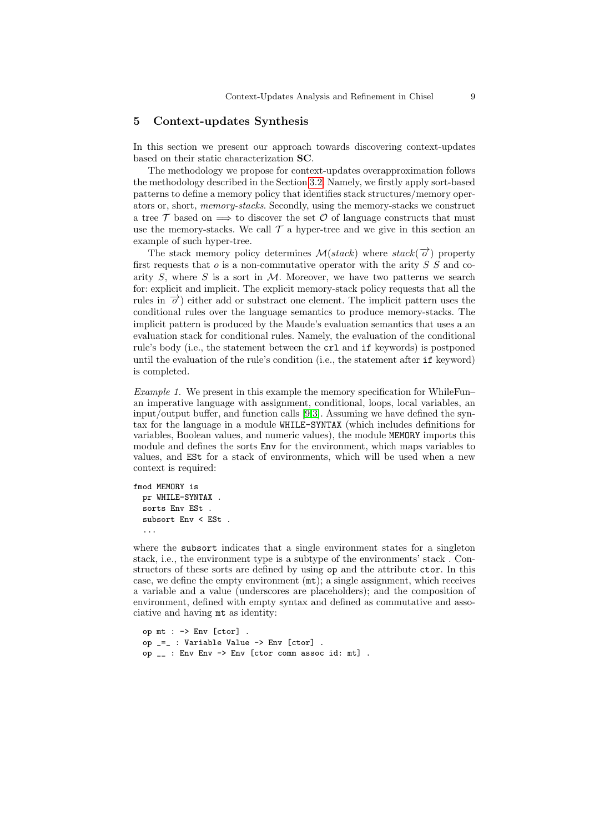## <span id="page-8-0"></span>5 Context-updates Synthesis

In this section we present our approach towards discovering context-updates based on their static characterization SC.

The methodology we propose for context-updates overapproximation follows the methodology described in the Section [3.2.](#page-5-0) Namely, we firstly apply sort-based patterns to define a memory policy that identifies stack structures/memory operators or, short, memory-stacks. Secondly, using the memory-stacks we construct a tree  $\mathcal T$  based on  $\implies$  to discover the set  $\mathcal O$  of language constructs that must use the memory-stacks. We call  $\mathcal T$  a hyper-tree and we give in this section an example of such hyper-tree.

The stack memory policy determines  $\mathcal{M}(stack)$  where  $stack(\overrightarrow{\sigma})$  property first requests that  $o$  is a non-commutative operator with the arity  $S S$  and coarity S, where S is a sort in  $\mathcal M$ . Moreover, we have two patterns we search for: explicit and implicit. The explicit memory-stack policy requests that all the rules in  $\vec{\sigma}$ ) either add or substract one element. The implicit pattern uses the conditional rules over the language semantics to produce memory-stacks. The implicit pattern is produced by the Maude's evaluation semantics that uses a an evaluation stack for conditional rules. Namely, the evaluation of the conditional rule's body (i.e., the statement between the crl and if keywords) is postponed until the evaluation of the rule's condition (i.e., the statement after if keyword) is completed.

Example 1. We present in this example the memory specification for WhileFun– an imperative language with assignment, conditional, loops, local variables, an input/output buffer, and function calls [\[9](#page-15-2)[,3\]](#page-15-3). Assuming we have defined the syntax for the language in a module WHILE-SYNTAX (which includes definitions for variables, Boolean values, and numeric values), the module MEMORY imports this module and defines the sorts Env for the environment, which maps variables to values, and ESt for a stack of environments, which will be used when a new context is required:

```
fmod MEMORY is
 pr WHILE-SYNTAX .
 sorts Env ESt .
 subsort Env < ESt .
  ...
```
where the subsort indicates that a single environment states for a singleton stack, i.e., the environment type is a subtype of the environments' stack . Constructors of these sorts are defined by using op and the attribute ctor. In this case, we define the empty environment (mt); a single assignment, which receives a variable and a value (underscores are placeholders); and the composition of environment, defined with empty syntax and defined as commutative and associative and having mt as identity:

```
op mt : -> Env [ctor] .
op _=_ : Variable Value -> Env [ctor] .
op __ : Env Env -> Env [ctor comm assoc id: mt] .
```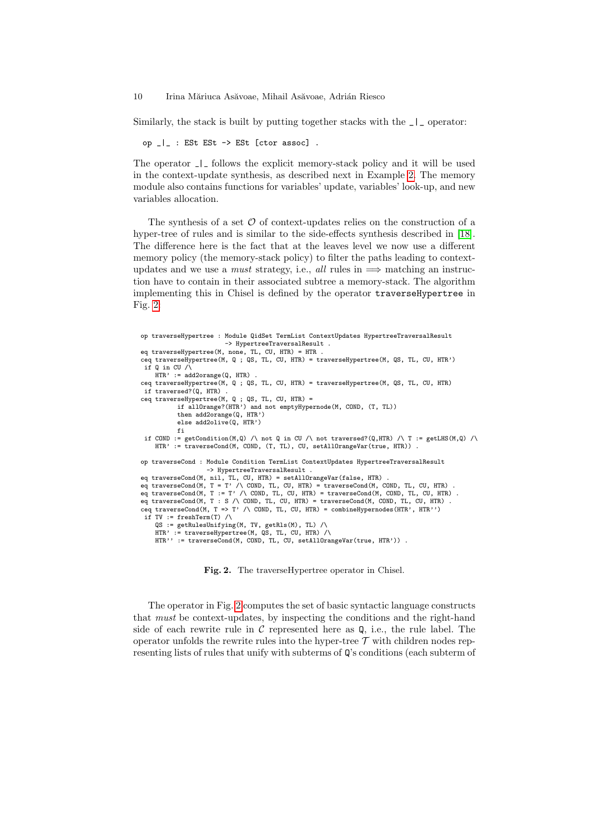Similarly, the stack is built by putting together stacks with the \_|\_ operator:

op \_|\_ : ESt ESt -> ESt [ctor assoc] .

The operator  $\lfloor \cdot \rfloor$  follows the explicit memory-stack policy and it will be used in the context-update synthesis, as described next in Example [2.](#page-10-0) The memory module also contains functions for variables' update, variables' look-up, and new variables allocation.

The synthesis of a set  $\mathcal O$  of context-updates relies on the construction of a hyper-tree of rules and is similar to the side-effects synthesis described in [\[18\]](#page-16-4). The difference here is the fact that at the leaves level we now use a different memory policy (the memory-stack policy) to filter the paths leading to contextupdates and we use a *must* strategy, i.e., all rules in  $\implies$  matching an instruction have to contain in their associated subtree a memory-stack. The algorithm implementing this in Chisel is defined by the operator traverseHypertree in Fig. [2:](#page-9-0)

```
op traverseHypertree : Module QidSet TermList ContextUpdates HypertreeTraversalResult
                           -> HypertreeTraversalResult .
eq traverseHypertree(M, none, TL, CU, HTR) = HTR .
ceq traverseHypertree(M, Q ; QS, TL, CU, HTR) = traverseHypertree(M, QS, TL, CU, HTR')
 if Q in CU /\
    HTR' := add2orange(Q, HTR)ceq traverseHypertree(M, Q ; QS, TL, CU, HTR) = traverseHypertree(M, QS, TL, CU, HTR)
if traversed?(Q, HTR) .
ceq traverseHypertree(M, Q ; QS, TL, CU, HTR) =
           if allOrange?(HTR') and not emptyHypernode(M, COND, (T, TL))
           then add2orange(Q, HTR')
           else add2olive(Q, HTR')
           fi
 if COND := getCondition(M,Q) /\ not Q in CU /\ not traversed?(Q,HTR) /\ T := getLHS(M,Q) /\
    HTR' := traverseCond(M, COND, (T, TL), CU, setAllOrangeVar(true, HTR))
op traverseCond : Module Condition TermList ContextUpdates HypertreeTraversalResult
                     -> HypertreeTraversalResult .
eq traverseCond(M, nil, TL, CU, HTR) = setAllOrangeVar(false, HTR) .
eq traverseCond(M, T = T' /\ COND, TL, CU, HTR) = traverseCond(M, COND, TL, CU, HTR) .
eq traverseCond(M, T := T' /\ COND, TL, CU, HTR) = traverseCond(M, COND, TL, CU, HTR) .
eq traverseCond(M, T : S /\ COND, TL, CU, HTR) = traverseCond(M, COND, TL, CU, HTR) .<br>ceq traverseCond(M, T => T' /\ COND, TL, CU, HTR) = combineHypernodes(HTR', HTR'')
 if TV := frashTerm(T) / \lambdaQS := getRulesUnifying(M, TV, getRls(M), TL) /\
HTR' := traverseHypertree(M, QS, TL, CU, HTR) /\
    HTR'' := traverseCond(M, COND, TL, CU, setAllOrangeVar(true, HTR')) .
```
<span id="page-9-0"></span>Fig. 2. The traverseHypertree operator in Chisel.

The operator in Fig. [2](#page-9-0) computes the set of basic syntactic language constructs that must be context-updates, by inspecting the conditions and the right-hand side of each rewrite rule in  $\mathcal C$  represented here as  $Q$ , i.e., the rule label. The operator unfolds the rewrite rules into the hyper-tree  $\mathcal T$  with children nodes representing lists of rules that unify with subterms of Q's conditions (each subterm of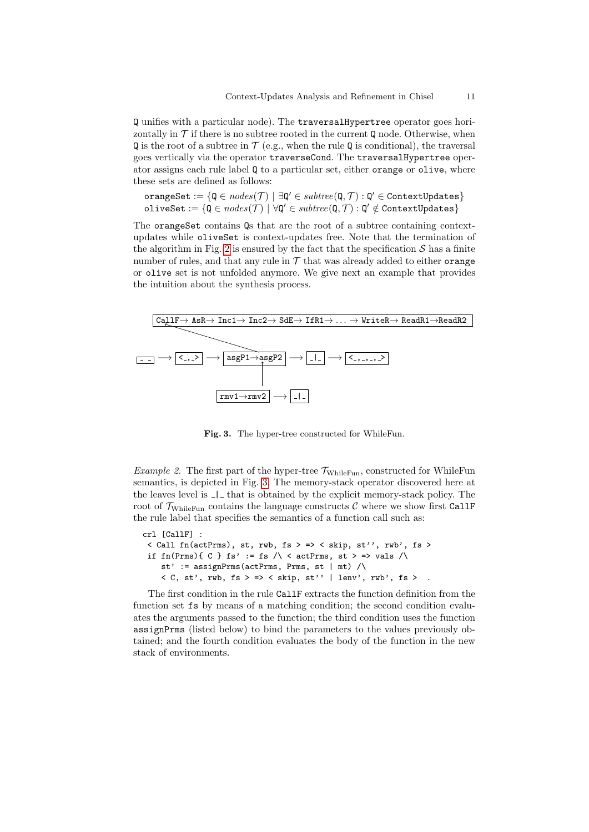Q unifies with a particular node). The traversalHypertree operator goes horizontally in  $\mathcal T$  if there is no subtree rooted in the current  $\mathbb Q$  node. Otherwise, when  $\mathbf Q$  is the root of a subtree in  $\mathcal T$  (e.g., when the rule  $\mathbf Q$  is conditional), the traversal goes vertically via the operator traverseCond. The traversalHypertree operator assigns each rule label Q to a particular set, either orange or olive, where these sets are defined as follows:

 $\texttt{orangeSet} := \{\texttt{Q} \in \textit{nodes}(\mathcal{T}) \mid \exists \texttt{Q}' \in \textit{subtree}(\texttt{Q}, \mathcal{T}) : \texttt{Q}' \in \texttt{ContextUpdates}\}$ oliveSet :=  $\{Q \in nodes(\mathcal{T}) \mid \forall Q' \in subtree(Q, \mathcal{T}) : Q' \notin ContextUpdates\}$ 

The orangeSet contains Qs that are the root of a subtree containing contextupdates while oliveSet is context-updates free. Note that the termination of the algorithm in Fig. [2](#page-9-0) is ensured by the fact that the specification  $S$  has a finite number of rules, and that any rule in  $T$  that was already added to either orange or olive set is not unfolded anymore. We give next an example that provides the intuition about the synthesis process.



<span id="page-10-1"></span>Fig. 3. The hyper-tree constructed for WhileFun.

<span id="page-10-0"></span>*Example 2.* The first part of the hyper-tree  $\mathcal{T}_{\text{WhileFun}}$ , constructed for WhileFun semantics, is depicted in Fig. [3.](#page-10-1) The memory-stack operator discovered here at the leaves level is  $\Box$  that is obtained by the explicit memory-stack policy. The root of  $\mathcal{T}_{\text{WhileFun}}$  contains the language constructs C where we show first CallF the rule label that specifies the semantics of a function call such as:

```
crl [CallF] :
 < Call fn(actPrms), st, rwb, fs > => < skip, st'', rwb', fs >
 if fn(Prms){ C } fs' := fs /\ < actPrms, st > => vals /\
    st' := assignPrms(actPrms, Prms, st | mt) /\
    \langle C, st', rub, fs \rangle \Rightarrow \langle skip, st' \rangle | lenv', rub', fs \rangle
```
The first condition in the rule CallF extracts the function definition from the function set fs by means of a matching condition; the second condition evaluates the arguments passed to the function; the third condition uses the function assignPrms (listed below) to bind the parameters to the values previously obtained; and the fourth condition evaluates the body of the function in the new stack of environments.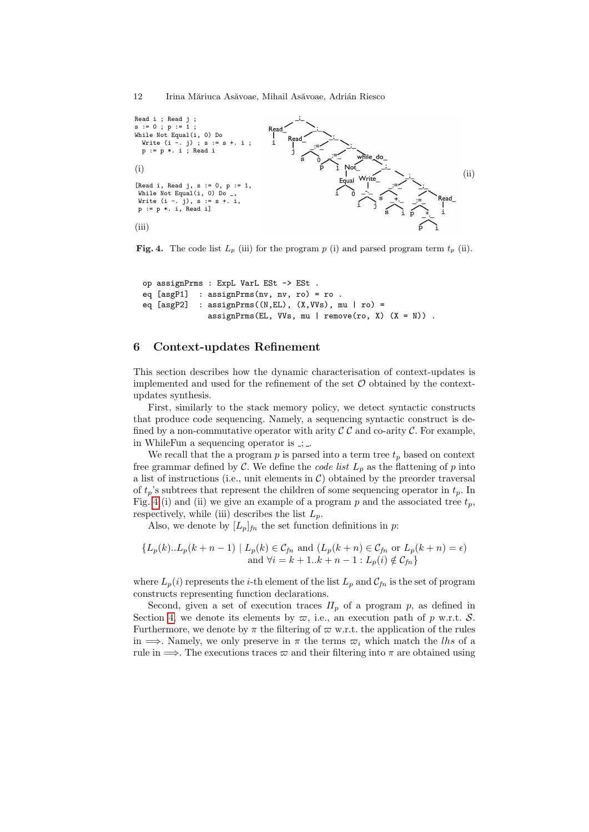

<span id="page-11-1"></span>Fig. 4. The code list  $L_p$  (iii) for the program p (i) and parsed program term  $t_p$  (ii).

```
op assignPrms : ExpL VarL ESt -> ESt .
eq [asgP1] : assignPrms(nv, nv, ro) = ro .
eq [asgP2] : assignPrms((N,EL), (X,VVs), mu | ro) =
              \text{assignPrms}(EL, VVs, mu | remove(ro, X) (X = N)).
```
# <span id="page-11-0"></span>6 Context-updates Refinement

This section describes how the dynamic characterisation of context-updates is implemented and used for the refinement of the set  $O$  obtained by the contextupdates synthesis.

First, similarly to the stack memory policy, we detect syntactic constructs that produce code sequencing. Namely, a sequencing syntactic construct is defined by a non-commutative operator with arity  $\mathcal{C} \mathcal{C}$  and co-arity  $\mathcal{C}$ . For example, in WhileFun a sequencing operator is  $\therefore$ .

We recall that the a program  $p$  is parsed into a term tree  $t_p$  based on context free grammar defined by C. We define the *code list*  $L_p$  as the flattening of p into a list of instructions (i.e., unit elements in  $C$ ) obtained by the preorder traversal of  $t_p$ 's subtrees that represent the children of some sequencing operator in  $t_p$ . In Fig. [4](#page-11-1) (i) and (ii) we give an example of a program  $p$  and the associated tree  $t_p$ , respectively, while (iii) describes the list  $L_p$ .

Also, we denote by  $[L_p]_{fn}$  the set function definitions in p:

$$
\{L_p(k)...L_p(k+n-1) \mid L_p(k) \in \mathcal{C}_{fn} \text{ and } (L_p(k+n) \in \mathcal{C}_{fn} \text{ or } L_p(k+n) = \epsilon) \text{ and } \forall i = k+1...k+n-1 : L_p(i) \notin \mathcal{C}_{fn}\}
$$

where  $L_p(i)$  represents the *i*-th element of the list  $L_p$  and  $C_{fn}$  is the set of program constructs representing function declarations.

Second, given a set of execution traces  $\Pi_p$  of a program p, as defined in Section [4,](#page-6-0) we denote its elements by  $\varpi$ , i.e., an execution path of p w.r.t. S. Furthermore, we denote by  $\pi$  the filtering of  $\varpi$  w.r.t. the application of the rules in  $\implies$ . Namely, we only preserve in  $\pi$  the terms  $\varpi_i$  which match the lhs of a rule in  $\implies$ . The executions traces  $\varpi$  and their filtering into  $\pi$  are obtained using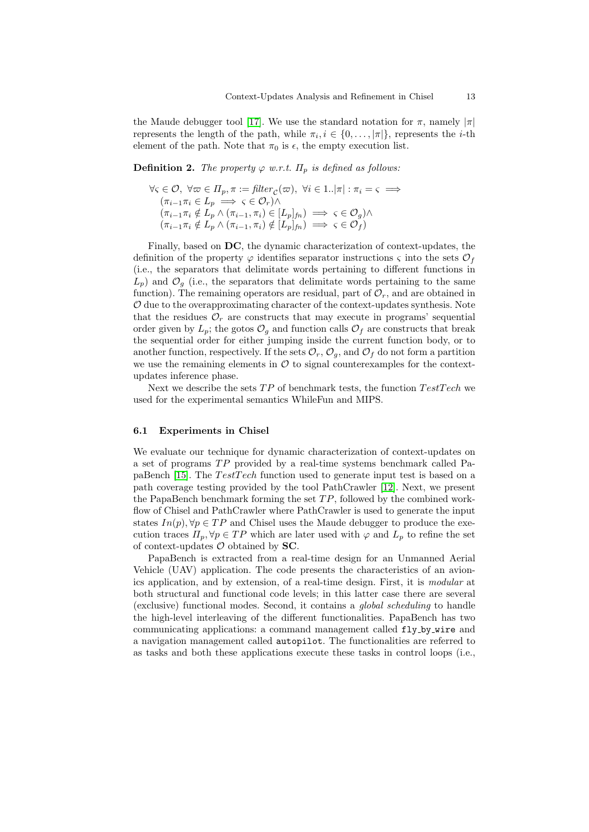the Maude debugger tool [\[17\]](#page-16-11). We use the standard notation for  $\pi$ , namely  $|\pi|$ represents the length of the path, while  $\pi_i, i \in \{0, \ldots, |\pi|\}$ , represents the *i*-th element of the path. Note that  $\pi_0$  is  $\epsilon$ , the empty execution list.

**Definition 2.** The property  $\varphi$  w.r.t.  $\Pi_p$  is defined as follows:

$$
\forall \varsigma \in \mathcal{O}, \ \forall \varpi \in \Pi_p, \pi := \text{filter}_{\mathcal{C}}(\varpi), \ \forall i \in 1..|\pi| : \pi_i = \varsigma \implies (\pi_{i-1}\pi_i \in L_p \implies \varsigma \in \mathcal{O}_r) \land \pi_{i-1}\pi_i \notin L_p \land (\pi_{i-1}, \pi_i) \in [L_p]_{fn}) \implies \varsigma \in \mathcal{O}_g) \land \pi_{i-1}\pi_i \notin L_p \land (\pi_{i-1}, \pi_i) \notin [L_p]_{fn}) \implies \varsigma \in \mathcal{O}_f)
$$

Finally, based on DC, the dynamic characterization of context-updates, the definition of the property  $\varphi$  identifies separator instructions  $\varsigma$  into the sets  $\mathcal{O}_f$ (i.e., the separators that delimitate words pertaining to different functions in  $L_p$ ) and  $\mathcal{O}_q$  (i.e., the separators that delimitate words pertaining to the same function). The remaining operators are residual, part of  $\mathcal{O}_r$ , and are obtained in  $\mathcal O$  due to the overapproximating character of the context-updates synthesis. Note that the residues  $\mathcal{O}_r$  are constructs that may execute in programs' sequential order given by  $L_p$ ; the gotos  $\mathcal{O}_q$  and function calls  $\mathcal{O}_f$  are constructs that break the sequential order for either jumping inside the current function body, or to another function, respectively. If the sets  $\mathcal{O}_r$ ,  $\mathcal{O}_q$ , and  $\mathcal{O}_f$  do not form a partition we use the remaining elements in  $\mathcal O$  to signal counterexamples for the contextupdates inference phase.

Next we describe the sets  $TP$  of benchmark tests, the function  $TestTechn$ used for the experimental semantics WhileFun and MIPS.

#### 6.1 Experiments in Chisel

We evaluate our technique for dynamic characterization of context-updates on a set of programs  $TP$  provided by a real-time systems benchmark called Pa-paBench [\[15\]](#page-15-15). The  $Test Tech$  function used to generate input test is based on a path coverage testing provided by the tool PathCrawler [\[12\]](#page-15-11). Next, we present the PapaBench benchmark forming the set  $TP$ , followed by the combined workflow of Chisel and PathCrawler where PathCrawler is used to generate the input states  $In(p), \forall p \in TP$  and Chisel uses the Maude debugger to produce the execution traces  $\Pi_p$ ,  $\forall p \in TP$  which are later used with  $\varphi$  and  $L_p$  to refine the set of context-updates  $\mathcal O$  obtained by **SC**.

PapaBench is extracted from a real-time design for an Unmanned Aerial Vehicle (UAV) application. The code presents the characteristics of an avionics application, and by extension, of a real-time design. First, it is modular at both structural and functional code levels; in this latter case there are several (exclusive) functional modes. Second, it contains a global scheduling to handle the high-level interleaving of the different functionalities. PapaBench has two communicating applications: a command management called fly\_by\_wire and a navigation management called autopilot. The functionalities are referred to as tasks and both these applications execute these tasks in control loops (i.e.,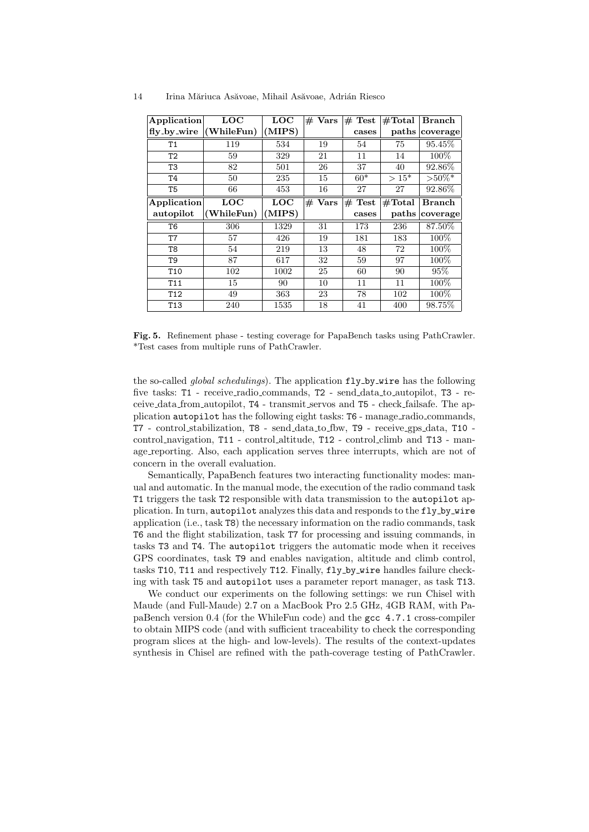| Application     | LOC        | LOC    | #<br>$\rm Vars$ | #<br><b>Test</b> | #Total | <b>Branch</b>  |
|-----------------|------------|--------|-----------------|------------------|--------|----------------|
| fly_by_wire     | (WhileFun) | (MIPS) |                 | cases            |        | paths coverage |
| T <sub>1</sub>  | 119        | 534    | 19              | 54               | 75     | 95.45%         |
| T2              | 59         | 329    | 21              | 11               | 14     | 100%           |
| T <sub>3</sub>  | 82         | 501    | 26              | 37               | 40     | 92.86%         |
| T4              | 50         | 235    | 15              | $60*$            | $>15*$ | $>50\%$ *      |
| T5              | 66         | 453    | 16              | 27               | 27     | 92.86%         |
| Application     | LOC        | LOC    | $#$ Vars        | #<br>Test        | #Total | Branch         |
| autopilot       | (WhileFun) | (MIPS) |                 | cases            | paths  | coverage       |
| T6              | 306        | 1329   | 31              | 173              | 236    | 87.50%         |
| T7              |            |        |                 |                  |        |                |
|                 | 57         | 426    | 19              | 181              | 183    | 100%           |
| T8              | 54         | 219    | 13              | 48               | 72     | 100%           |
| T9              | 87         | 617    | 32              | 59               | 97     | 100%           |
| T <sub>10</sub> | 102        | 1002   | 25              | 60               | 90     | 95%            |
| T11             | 15         | 90     | 10              | 11               | 11     | 100%           |
| T12             | 49         | 363    | 23              | 78               | 102    | 100%           |

<span id="page-13-0"></span>Fig. 5. Refinement phase - testing coverage for PapaBench tasks using PathCrawler. \*Test cases from multiple runs of PathCrawler.

the so-called *global schedulings*). The application fly\_by\_wire has the following five tasks: T1 - receive radio commands, T2 - send data to autopilot, T3 - receive data from autopilot, T4 - transmit servos and T5 - check failsafe. The application autopilot has the following eight tasks: T6 - manage radio commands, T7 - control stabilization, T8 - send data to fbw, T9 - receive gps data, T10 control navigation, T11 - control altitude, T12 - control climb and T13 - manage reporting. Also, each application serves three interrupts, which are not of concern in the overall evaluation.

Semantically, PapaBench features two interacting functionality modes: manual and automatic. In the manual mode, the execution of the radio command task T1 triggers the task T2 responsible with data transmission to the autopilot application. In turn, autopilot analyzes this data and responds to the fly\_by\_wire application (i.e., task T8) the necessary information on the radio commands, task T6 and the flight stabilization, task T7 for processing and issuing commands, in tasks T3 and T4. The autopilot triggers the automatic mode when it receives GPS coordinates, task T9 and enables navigation, altitude and climb control, tasks T10, T11 and respectively T12. Finally, fly\_by\_wire handles failure checking with task T5 and autopilot uses a parameter report manager, as task T13.

We conduct our experiments on the following settings: we run Chisel with Maude (and Full-Maude) 2.7 on a MacBook Pro 2.5 GHz, 4GB RAM, with PapaBench version 0.4 (for the WhileFun code) and the gcc 4.7.1 cross-compiler to obtain MIPS code (and with sufficient traceability to check the corresponding program slices at the high- and low-levels). The results of the context-updates synthesis in Chisel are refined with the path-coverage testing of PathCrawler.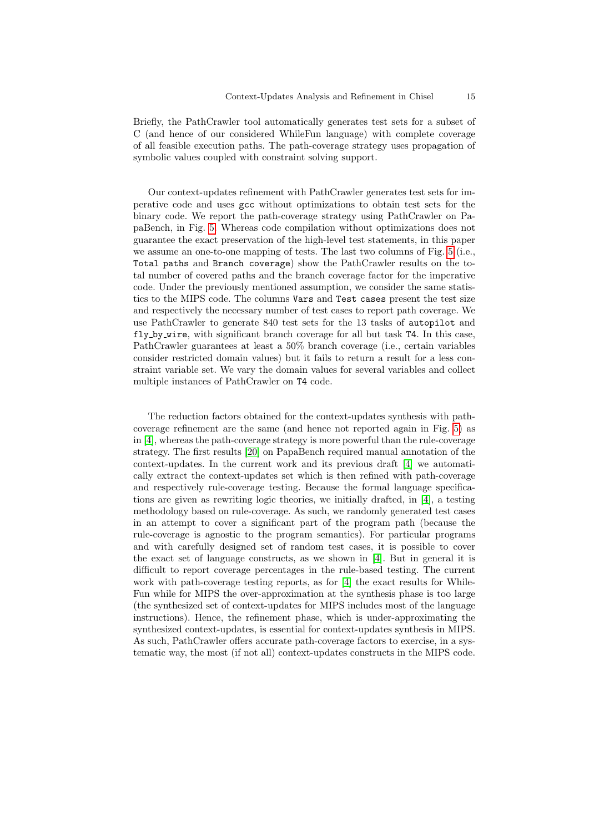Briefly, the PathCrawler tool automatically generates test sets for a subset of C (and hence of our considered WhileFun language) with complete coverage of all feasible execution paths. The path-coverage strategy uses propagation of symbolic values coupled with constraint solving support.

Our context-updates refinement with PathCrawler generates test sets for imperative code and uses gcc without optimizations to obtain test sets for the binary code. We report the path-coverage strategy using PathCrawler on PapaBench, in Fig. [5.](#page-13-0) Whereas code compilation without optimizations does not guarantee the exact preservation of the high-level test statements, in this paper we assume an one-to-one mapping of tests. The last two columns of Fig. [5](#page-13-0) (i.e., Total paths and Branch coverage) show the PathCrawler results on the total number of covered paths and the branch coverage factor for the imperative code. Under the previously mentioned assumption, we consider the same statistics to the MIPS code. The columns Vars and Test cases present the test size and respectively the necessary number of test cases to report path coverage. We use PathCrawler to generate 840 test sets for the 13 tasks of autopilot and fly by wire, with significant branch coverage for all but task T4. In this case, PathCrawler guarantees at least a 50% branch coverage (i.e., certain variables consider restricted domain values) but it fails to return a result for a less constraint variable set. We vary the domain values for several variables and collect multiple instances of PathCrawler on T4 code.

The reduction factors obtained for the context-updates synthesis with pathcoverage refinement are the same (and hence not reported again in Fig. [5\)](#page-13-0) as in [\[4\]](#page-15-13), whereas the path-coverage strategy is more powerful than the rule-coverage strategy. The first results [\[20\]](#page-16-3) on PapaBench required manual annotation of the context-updates. In the current work and its previous draft [\[4\]](#page-15-13) we automatically extract the context-updates set which is then refined with path-coverage and respectively rule-coverage testing. Because the formal language specifications are given as rewriting logic theories, we initially drafted, in [\[4\]](#page-15-13), a testing methodology based on rule-coverage. As such, we randomly generated test cases in an attempt to cover a significant part of the program path (because the rule-coverage is agnostic to the program semantics). For particular programs and with carefully designed set of random test cases, it is possible to cover the exact set of language constructs, as we shown in [\[4\]](#page-15-13). But in general it is difficult to report coverage percentages in the rule-based testing. The current work with path-coverage testing reports, as for [\[4\]](#page-15-13) the exact results for While-Fun while for MIPS the over-approximation at the synthesis phase is too large (the synthesized set of context-updates for MIPS includes most of the language instructions). Hence, the refinement phase, which is under-approximating the synthesized context-updates, is essential for context-updates synthesis in MIPS. As such, PathCrawler offers accurate path-coverage factors to exercise, in a systematic way, the most (if not all) context-updates constructs in the MIPS code.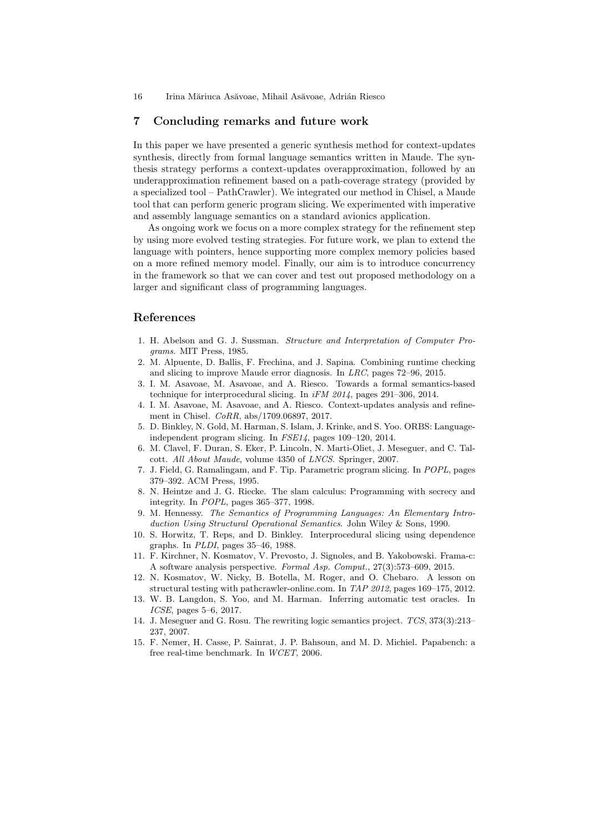# <span id="page-15-4"></span>7 Concluding remarks and future work

In this paper we have presented a generic synthesis method for context-updates synthesis, directly from formal language semantics written in Maude. The synthesis strategy performs a context-updates overapproximation, followed by an underapproximation refinement based on a path-coverage strategy (provided by a specialized tool – PathCrawler). We integrated our method in Chisel, a Maude tool that can perform generic program slicing. We experimented with imperative and assembly language semantics on a standard avionics application.

As ongoing work we focus on a more complex strategy for the refinement step by using more evolved testing strategies. For future work, we plan to extend the language with pointers, hence supporting more complex memory policies based on a more refined memory model. Finally, our aim is to introduce concurrency in the framework so that we can cover and test out proposed methodology on a larger and significant class of programming languages.

# References

- <span id="page-15-8"></span>1. H. Abelson and G. J. Sussman. Structure and Interpretation of Computer Programs. MIT Press, 1985.
- <span id="page-15-10"></span>2. M. Alpuente, D. Ballis, F. Frechina, and J. Sapina. Combining runtime checking and slicing to improve Maude error diagnosis. In LRC, pages 72–96, 2015.
- <span id="page-15-3"></span>3. I. M. Asavoae, M. Asavoae, and A. Riesco. Towards a formal semantics-based technique for interprocedural slicing. In  $iFM$  2014, pages 291-306, 2014.
- <span id="page-15-13"></span>4. I. M. Asavoae, M. Asavoae, and A. Riesco. Context-updates analysis and refinement in Chisel. CoRR, abs/1709.06897, 2017.
- <span id="page-15-5"></span>5. D. Binkley, N. Gold, M. Harman, S. Islam, J. Krinke, and S. Yoo. ORBS: Languageindependent program slicing. In FSE14, pages 109–120, 2014.
- <span id="page-15-1"></span>6. M. Clavel, F. Duran, S. Eker, P. Lincoln, N. Marti-Oliet, J. Meseguer, and C. Talcott. All About Maude, volume 4350 of LNCS. Springer, 2007.
- <span id="page-15-6"></span>7. J. Field, G. Ramalingam, and F. Tip. Parametric program slicing. In POPL, pages 379–392. ACM Press, 1995.
- <span id="page-15-9"></span>8. N. Heintze and J. G. Riecke. The slam calculus: Programming with secrecy and integrity. In POPL, pages 365–377, 1998.
- <span id="page-15-2"></span>9. M. Hennessy. The Semantics of Programming Languages: An Elementary Introduction Using Structural Operational Semantics. John Wiley & Sons, 1990.
- <span id="page-15-14"></span>10. S. Horwitz, T. Reps, and D. Binkley. Interprocedural slicing using dependence graphs. In PLDI, pages 35–46, 1988.
- <span id="page-15-12"></span>11. F. Kirchner, N. Kosmatov, V. Prevosto, J. Signoles, and B. Yakobowski. Frama-c: A software analysis perspective. Formal Asp. Comput., 27(3):573–609, 2015.
- <span id="page-15-11"></span>12. N. Kosmatov, W. Nicky, B. Botella, M. Roger, and O. Chebaro. A lesson on structural testing with pathcrawler-online.com. In TAP 2012, pages 169–175, 2012.
- <span id="page-15-7"></span>13. W. B. Langdon, S. Yoo, and M. Harman. Inferring automatic test oracles. In ICSE, pages 5–6, 2017.
- <span id="page-15-0"></span>14. J. Meseguer and G. Rosu. The rewriting logic semantics project. TCS, 373(3):213– 237, 2007.
- <span id="page-15-15"></span>15. F. Nemer, H. Casse, P. Sainrat, J. P. Bahsoun, and M. D. Michiel. Papabench: a free real-time benchmark. In WCET, 2006.